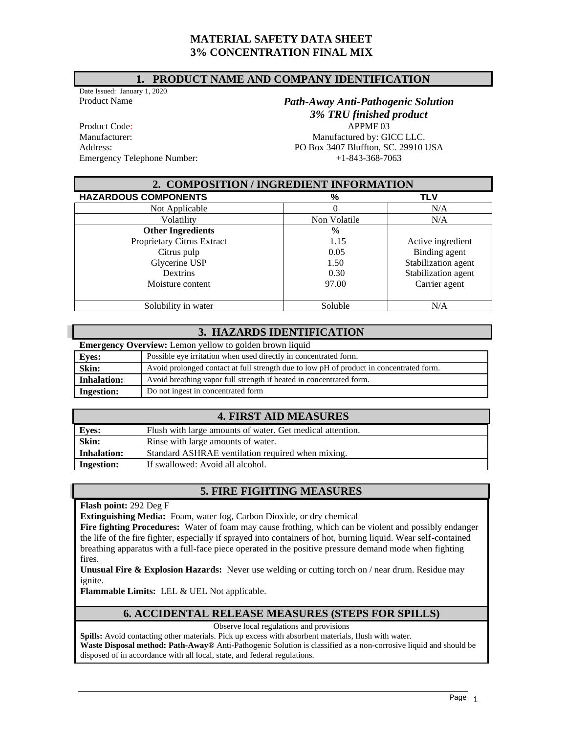## **MATERIAL SAFETY DATA SHEET 3% CONCENTRATION FINAL MIX**

#### **1. PRODUCT NAME AND COMPANY IDENTIFICATION**

Date Issued: January 1, 2020

Product Code: APPMF 03 Address: PO Box 3407 Bluffton, SC. 29910 USA<br>Emergency Telephone Number:  $+1.843-368-7063$ Emergency Telephone Number:

# Product Name *Path-Away Anti-Pathogenic Solution 3% TRU finished product* Manufacturer: Manufactured by: GICC LLC.

| 2. COMPOSITION / INGREDIENT INFORMATION |               |                     |  |
|-----------------------------------------|---------------|---------------------|--|
| <b>HAZARDOUS COMPONENTS</b>             | %             | <b>TLV</b>          |  |
| Not Applicable                          |               | N/A                 |  |
| Volatility                              | Non Volatile  | N/A                 |  |
| <b>Other Ingredients</b>                | $\frac{0}{0}$ |                     |  |
| Proprietary Citrus Extract              | 1.15          | Active ingredient   |  |
| Citrus pulp                             | 0.05          | Binding agent       |  |
| Glycerine USP                           | 1.50          | Stabilization agent |  |
| <b>Dextrins</b>                         | 0.30          | Stabilization agent |  |
| Moisture content                        | 97.00         | Carrier agent       |  |
|                                         |               |                     |  |
| Solubility in water                     | Soluble       | N/A                 |  |

## **3. HAZARDS IDENTIFICATION**

| <b>Emergency Overview:</b> Lemon yellow to golden brown liquid |                                                                                         |  |
|----------------------------------------------------------------|-----------------------------------------------------------------------------------------|--|
| <b>Eyes:</b>                                                   | Possible eye irritation when used directly in concentrated form.                        |  |
| Skin:                                                          | Avoid prolonged contact at full strength due to low pH of product in concentrated form. |  |
| <b>Inhalation:</b>                                             | Avoid breathing vapor full strength if heated in concentrated form.                     |  |
| <b>Ingestion:</b>                                              | Do not ingest in concentrated form                                                      |  |

# **4. FIRST AID MEASURES**

| <b>Eyes:</b>       | Flush with large amounts of water. Get medical attention. |
|--------------------|-----------------------------------------------------------|
| Skin:              | Rinse with large amounts of water.                        |
| <b>Inhalation:</b> | Standard ASHRAE ventilation required when mixing.         |
| <b>Ingestion:</b>  | If swallowed: Avoid all alcohol.                          |

## **5. FIRE FIGHTING MEASURES**

**Flash point:** 292 Deg F

**Extinguishing Media:** Foam, water fog, Carbon Dioxide, or dry chemical

**Fire fighting Procedures:** Water of foam may cause frothing, which can be violent and possibly endanger the life of the fire fighter, especially if sprayed into containers of hot, burning liquid. Wear self-contained breathing apparatus with a full-face piece operated in the positive pressure demand mode when fighting fires.

**Unusual Fire & Explosion Hazards:** Never use welding or cutting torch on / near drum. Residue may ignite.

**Flammable Limits:** LEL & UEL Not applicable.

# **6. ACCIDENTAL RELEASE MEASURES (STEPS FOR SPILLS)**

Observe local regulations and provisions

**Spills:** Avoid contacting other materials. Pick up excess with absorbent materials, flush with water.

**Waste Disposal method: Path-Away®** Anti-Pathogenic Solution is classified as a non-corrosive liquid and should be disposed of in accordance with all local, state, and federal regulations.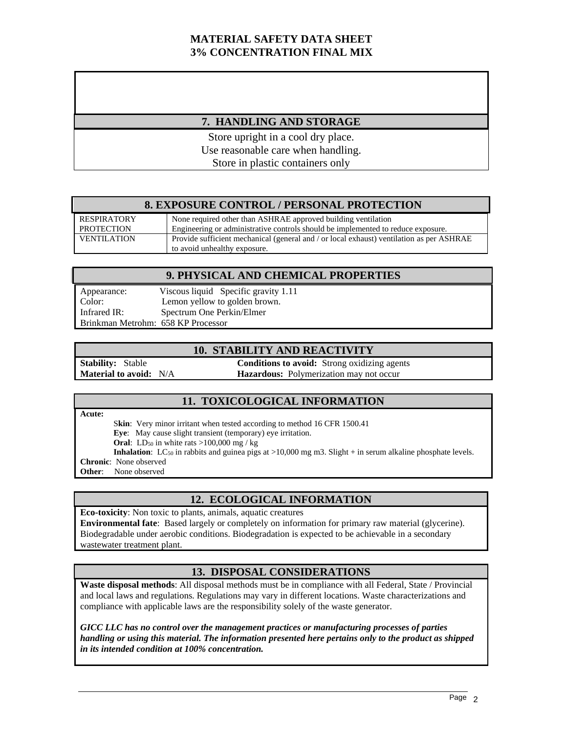# **MATERIAL SAFETY DATA SHEET 3% CONCENTRATION FINAL MIX**

## **7. HANDLING AND STORAGE**

Store upright in a cool dry place. Use reasonable care when handling. Store in plastic containers only

#### **8. EXPOSURE CONTROL / PERSONAL PROTECTION**

| RESPIRATORY        | None required other than ASHRAE approved building ventilation                            |
|--------------------|------------------------------------------------------------------------------------------|
| <b>PROTECTION</b>  | Engineering or administrative controls should be implemented to reduce exposure.         |
| <b>VENTILATION</b> | Provide sufficient mechanical (general and / or local exhaust) ventilation as per ASHRAE |
|                    | to avoid unhealthy exposure.                                                             |

### **9. PHYSICAL AND CHEMICAL PROPERTIES**

| Appearance:                        | Viscous liquid Specific gravity 1.11 |
|------------------------------------|--------------------------------------|
| Color:                             | Lemon yellow to golden brown.        |
| Infrared IR:                       | Spectrum One Perkin/Elmer            |
| Brinkman Metrohm: 658 KP Processor |                                      |

#### **10. STABILITY AND REACTIVITY**

**Stability:** Stable **Conditions to avoid:** Strong oxidizing agents **Material to avoid:** N/A **Hazardous:** Polymerization may not occur

#### **11. TOXICOLOGICAL INFORMATION**

**Acute:** 

Skin: Very minor irritant when tested according to method 16 CFR 1500.41 **Eye**: May cause slight transient (temporary) eye irritation. **Oral**: LD<sub>50</sub> in white rats  $>100,000$  mg / kg **Inhalation**: LC<sub>50</sub> in rabbits and guinea pigs at  $>10,000$  mg m3. Slight + in serum alkaline phosphate levels. **Chronic**: None observed **Other**: None observed

#### **12. ECOLOGICAL INFORMATION**

**Eco-toxicity**: Non toxic to plants, animals, aquatic creatures **Environmental fate**: Based largely or completely on information for primary raw material (glycerine). Biodegradable under aerobic conditions. Biodegradation is expected to be achievable in a secondary wastewater treatment plant.

## **13. DISPOSAL CONSIDERATIONS**

**Waste disposal methods**: All disposal methods must be in compliance with all Federal, State / Provincial and local laws and regulations. Regulations may vary in different locations. Waste characterizations and compliance with applicable laws are the responsibility solely of the waste generator.

*GICC LLC has no control over the management practices or manufacturing processes of parties handling or using this material. The information presented here pertains only to the product as shipped in its intended condition at 100% concentration.*